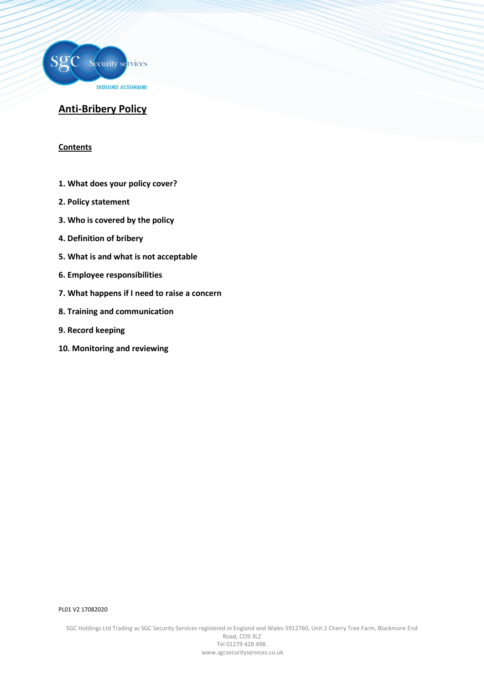

# **Anti-Bribery Policy**

## **Contents**

- **1. What does your policy cover?**
- **2. Policy statement**
- **3. Who is covered by the policy**
- **4. Definition of bribery**
- **5. What is and what is not acceptable**
- **6. Employee responsibilities**
- **7. What happens if I need to raise a concern**
- **8. Training and communication**
- **9. Record keeping**
- **10. Monitoring and reviewing**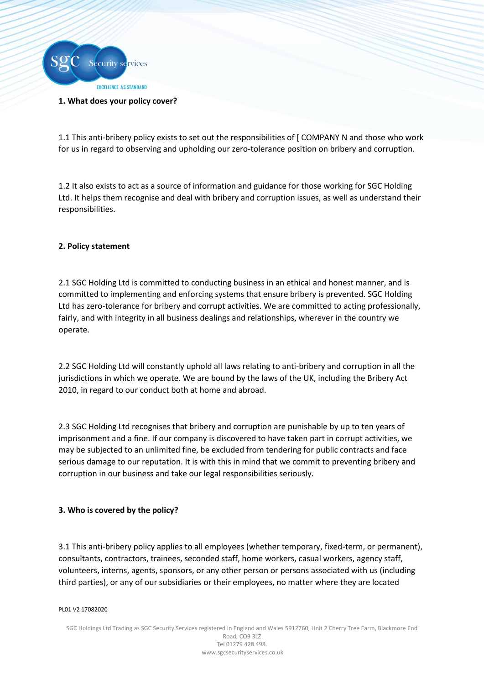

#### **1. What does your policy cover?**

1.1 This anti-bribery policy exists to set out the responsibilities of [ COMPANY N and those who work for us in regard to observing and upholding our zero-tolerance position on bribery and corruption.

1.2 It also exists to act as a source of information and guidance for those working for SGC Holding Ltd. It helps them recognise and deal with bribery and corruption issues, as well as understand their responsibilities.

## **2. Policy statement**

2.1 SGC Holding Ltd is committed to conducting business in an ethical and honest manner, and is committed to implementing and enforcing systems that ensure bribery is prevented. SGC Holding Ltd has zero-tolerance for bribery and corrupt activities. We are committed to acting professionally, fairly, and with integrity in all business dealings and relationships, wherever in the country we operate.

2.2 SGC Holding Ltd will constantly uphold all laws relating to anti-bribery and corruption in all the jurisdictions in which we operate. We are bound by the laws of the UK, including the Bribery Act 2010, in regard to our conduct both at home and abroad.

2.3 SGC Holding Ltd recognises that bribery and corruption are punishable by up to ten years of imprisonment and a fine. If our company is discovered to have taken part in corrupt activities, we may be subjected to an unlimited fine, be excluded from tendering for public contracts and face serious damage to our reputation. It is with this in mind that we commit to preventing bribery and corruption in our business and take our legal responsibilities seriously.

# **3. Who is covered by the policy?**

3.1 This anti-bribery policy applies to all employees (whether temporary, fixed-term, or permanent), consultants, contractors, trainees, seconded staff, home workers, casual workers, agency staff, volunteers, interns, agents, sponsors, or any other person or persons associated with us (including third parties), or any of our subsidiaries or their employees, no matter where they are located

#### PL01 V2 17082020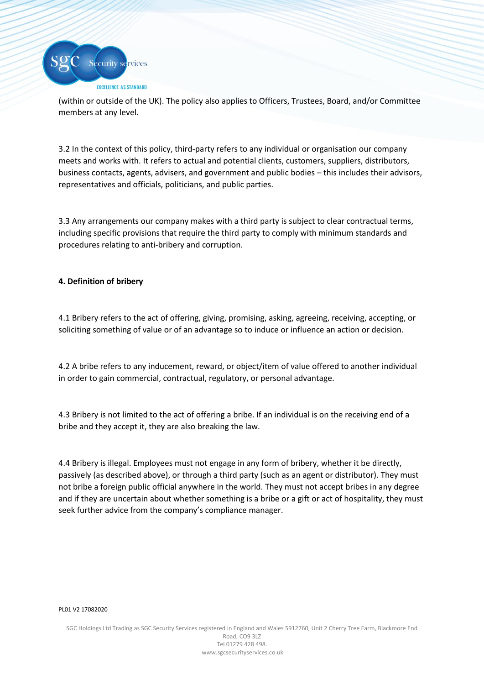

(within or outside of the UK). The policy also applies to Officers, Trustees, Board, and/or Committee members at any level.

3.2 In the context of this policy, third-party refers to any individual or organisation our company meets and works with. It refers to actual and potential clients, customers, suppliers, distributors, business contacts, agents, advisers, and government and public bodies – this includes their advisors, representatives and officials, politicians, and public parties.

3.3 Any arrangements our company makes with a third party is subject to clear contractual terms, including specific provisions that require the third party to comply with minimum standards and procedures relating to anti-bribery and corruption.

# **4. Definition of bribery**

4.1 Bribery refers to the act of offering, giving, promising, asking, agreeing, receiving, accepting, or soliciting something of value or of an advantage so to induce or influence an action or decision.

4.2 A bribe refers to any inducement, reward, or object/item of value offered to another individual in order to gain commercial, contractual, regulatory, or personal advantage.

4.3 Bribery is not limited to the act of offering a bribe. If an individual is on the receiving end of a bribe and they accept it, they are also breaking the law.

4.4 Bribery is illegal. Employees must not engage in any form of bribery, whether it be directly, passively (as described above), or through a third party (such as an agent or distributor). They must not bribe a foreign public official anywhere in the world. They must not accept bribes in any degree and if they are uncertain about whether something is a bribe or a gift or act of hospitality, they must seek further advice from the company's compliance manager.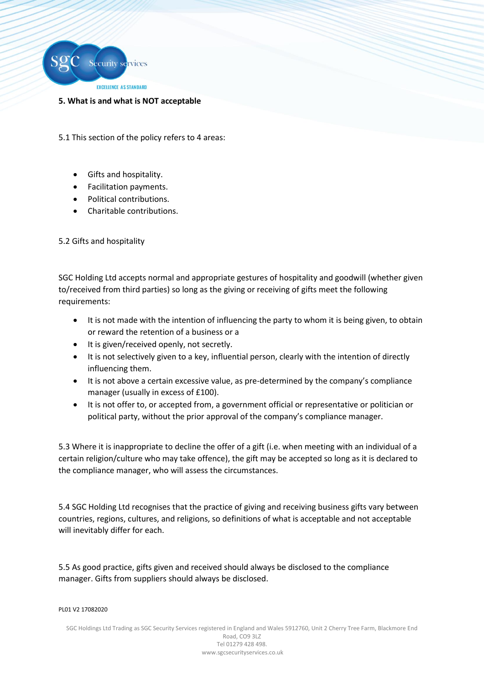

## **5. What is and what is NOT acceptable**

5.1 This section of the policy refers to 4 areas:

- Gifts and hospitality.
- Facilitation payments.
- Political contributions.
- Charitable contributions.

5.2 Gifts and hospitality

SGC Holding Ltd accepts normal and appropriate gestures of hospitality and goodwill (whether given to/received from third parties) so long as the giving or receiving of gifts meet the following requirements:

- It is not made with the intention of influencing the party to whom it is being given, to obtain or reward the retention of a business or a
- It is given/received openly, not secretly.
- It is not selectively given to a key, influential person, clearly with the intention of directly influencing them.
- It is not above a certain excessive value, as pre-determined by the company's compliance manager (usually in excess of £100).
- It is not offer to, or accepted from, a government official or representative or politician or political party, without the prior approval of the company's compliance manager.

5.3 Where it is inappropriate to decline the offer of a gift (i.e. when meeting with an individual of a certain religion/culture who may take offence), the gift may be accepted so long as it is declared to the compliance manager, who will assess the circumstances.

5.4 SGC Holding Ltd recognises that the practice of giving and receiving business gifts vary between countries, regions, cultures, and religions, so definitions of what is acceptable and not acceptable will inevitably differ for each.

5.5 As good practice, gifts given and received should always be disclosed to the compliance manager. Gifts from suppliers should always be disclosed.

#### PL01 V2 17082020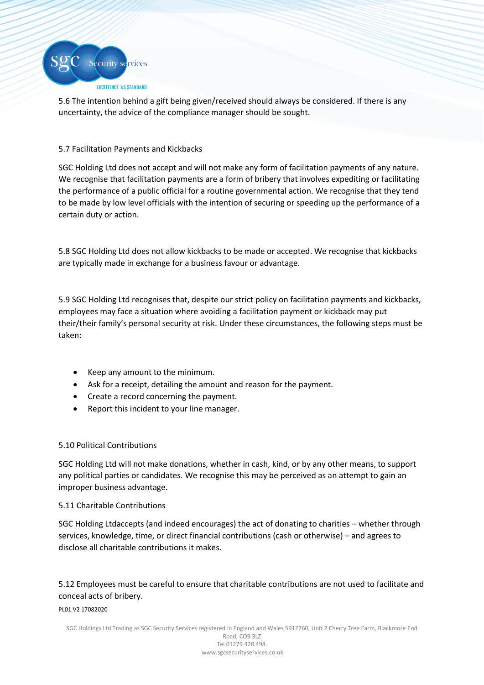

5.6 The intention behind a gift being given/received should always be considered. If there is any uncertainty, the advice of the compliance manager should be sought.

# 5.7 Facilitation Payments and Kickbacks

SGC Holding Ltd does not accept and will not make any form of facilitation payments of any nature. We recognise that facilitation payments are a form of bribery that involves expediting or facilitating the performance of a public official for a routine governmental action. We recognise that they tend to be made by low level officials with the intention of securing or speeding up the performance of a certain duty or action.

5.8 SGC Holding Ltd does not allow kickbacks to be made or accepted. We recognise that kickbacks are typically made in exchange for a business favour or advantage.

5.9 SGC Holding Ltd recognises that, despite our strict policy on facilitation payments and kickbacks, employees may face a situation where avoiding a facilitation payment or kickback may put their/their family's personal security at risk. Under these circumstances, the following steps must be taken:

- Keep any amount to the minimum.
- Ask for a receipt, detailing the amount and reason for the payment.
- Create a record concerning the payment.
- Report this incident to your line manager.

# 5.10 Political Contributions

SGC Holding Ltd will not make donations, whether in cash, kind, or by any other means, to support any political parties or candidates. We recognise this may be perceived as an attempt to gain an improper business advantage.

# 5.11 Charitable Contributions

SGC Holding Ltdaccepts (and indeed encourages) the act of donating to charities – whether through services, knowledge, time, or direct financial contributions (cash or otherwise) – and agrees to disclose all charitable contributions it makes.

# 5.12 Employees must be careful to ensure that charitable contributions are not used to facilitate and conceal acts of bribery.

#### PL01 V2 17082020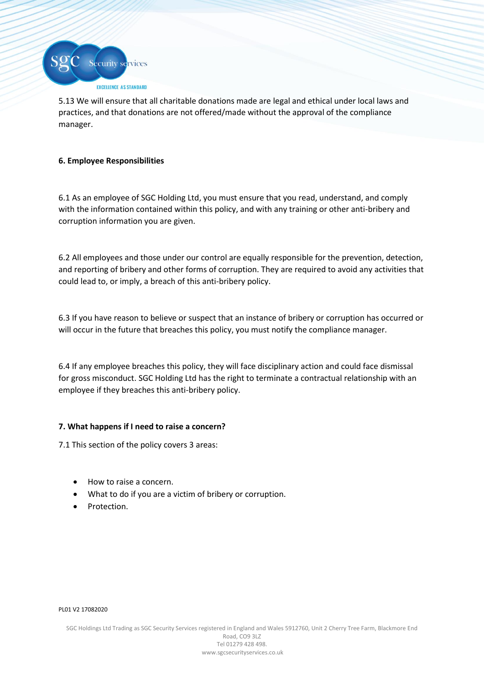

5.13 We will ensure that all charitable donations made are legal and ethical under local laws and practices, and that donations are not offered/made without the approval of the compliance manager.

# **6. Employee Responsibilities**

6.1 As an employee of SGC Holding Ltd, you must ensure that you read, understand, and comply with the information contained within this policy, and with any training or other anti-bribery and corruption information you are given.

6.2 All employees and those under our control are equally responsible for the prevention, detection, and reporting of bribery and other forms of corruption. They are required to avoid any activities that could lead to, or imply, a breach of this anti-bribery policy.

6.3 If you have reason to believe or suspect that an instance of bribery or corruption has occurred or will occur in the future that breaches this policy, you must notify the compliance manager.

6.4 If any employee breaches this policy, they will face disciplinary action and could face dismissal for gross misconduct. SGC Holding Ltd has the right to terminate a contractual relationship with an employee if they breaches this anti-bribery policy.

# **7. What happens if I need to raise a concern?**

7.1 This section of the policy covers 3 areas:

- How to raise a concern.
- What to do if you are a victim of bribery or corruption.
- Protection.

#### PL01 V2 17082020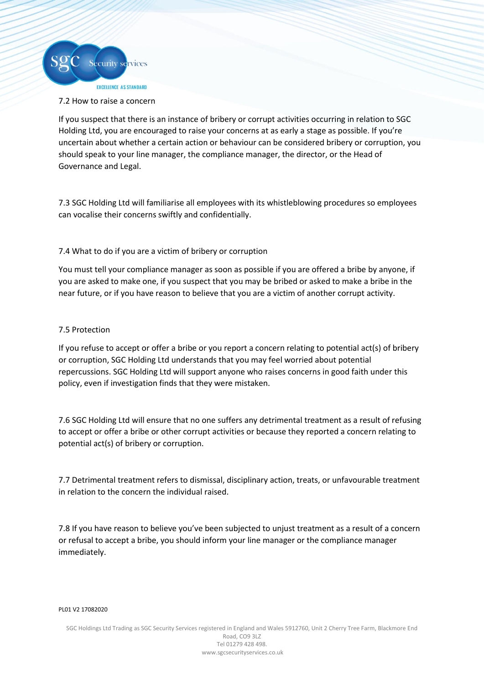

## 7.2 How to raise a concern

If you suspect that there is an instance of bribery or corrupt activities occurring in relation to SGC Holding Ltd, you are encouraged to raise your concerns at as early a stage as possible. If you're uncertain about whether a certain action or behaviour can be considered bribery or corruption, you should speak to your line manager, the compliance manager, the director, or the Head of Governance and Legal.

7.3 SGC Holding Ltd will familiarise all employees with its whistleblowing procedures so employees can vocalise their concerns swiftly and confidentially.

## 7.4 What to do if you are a victim of bribery or corruption

You must tell your compliance manager as soon as possible if you are offered a bribe by anyone, if you are asked to make one, if you suspect that you may be bribed or asked to make a bribe in the near future, or if you have reason to believe that you are a victim of another corrupt activity.

## 7.5 Protection

If you refuse to accept or offer a bribe or you report a concern relating to potential act(s) of bribery or corruption, SGC Holding Ltd understands that you may feel worried about potential repercussions. SGC Holding Ltd will support anyone who raises concerns in good faith under this policy, even if investigation finds that they were mistaken.

7.6 SGC Holding Ltd will ensure that no one suffers any detrimental treatment as a result of refusing to accept or offer a bribe or other corrupt activities or because they reported a concern relating to potential act(s) of bribery or corruption.

7.7 Detrimental treatment refers to dismissal, disciplinary action, treats, or unfavourable treatment in relation to the concern the individual raised.

7.8 If you have reason to believe you've been subjected to unjust treatment as a result of a concern or refusal to accept a bribe, you should inform your line manager or the compliance manager immediately.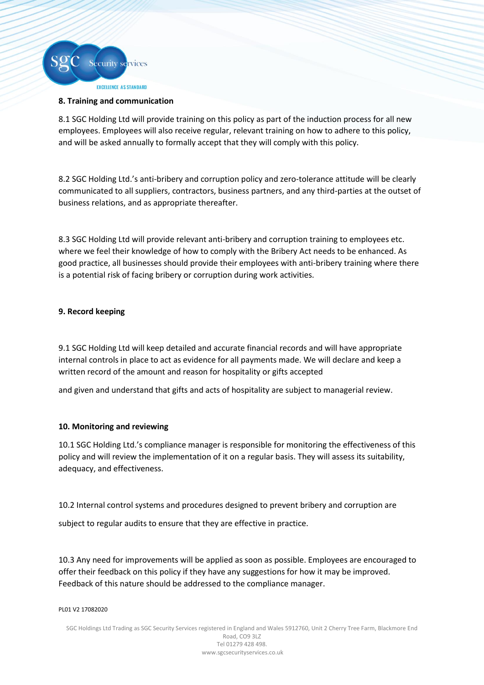

## **8. Training and communication**

8.1 SGC Holding Ltd will provide training on this policy as part of the induction process for all new employees. Employees will also receive regular, relevant training on how to adhere to this policy, and will be asked annually to formally accept that they will comply with this policy.

8.2 SGC Holding Ltd.'s anti-bribery and corruption policy and zero-tolerance attitude will be clearly communicated to all suppliers, contractors, business partners, and any third-parties at the outset of business relations, and as appropriate thereafter.

8.3 SGC Holding Ltd will provide relevant anti-bribery and corruption training to employees etc. where we feel their knowledge of how to comply with the Bribery Act needs to be enhanced. As good practice, all businesses should provide their employees with anti-bribery training where there is a potential risk of facing bribery or corruption during work activities.

# **9. Record keeping**

9.1 SGC Holding Ltd will keep detailed and accurate financial records and will have appropriate internal controls in place to act as evidence for all payments made. We will declare and keep a written record of the amount and reason for hospitality or gifts accepted

and given and understand that gifts and acts of hospitality are subject to managerial review.

# **10. Monitoring and reviewing**

10.1 SGC Holding Ltd.'s compliance manager is responsible for monitoring the effectiveness of this policy and will review the implementation of it on a regular basis. They will assess its suitability, adequacy, and effectiveness.

10.2 Internal control systems and procedures designed to prevent bribery and corruption are

subject to regular audits to ensure that they are effective in practice.

10.3 Any need for improvements will be applied as soon as possible. Employees are encouraged to offer their feedback on this policy if they have any suggestions for how it may be improved. Feedback of this nature should be addressed to the compliance manager.

#### PL01 V2 17082020